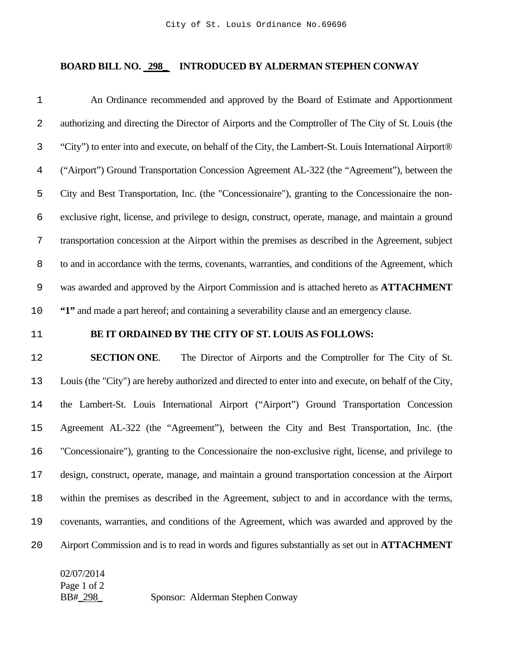## **BOARD BILL NO. 298\_ INTRODUCED BY ALDERMAN STEPHEN CONWAY**

An Ordinance recommended and approved by the Board of Estimate and Apportionment authorizing and directing the Director of Airports and the Comptroller of The City of St. Louis (the "City") to enter into and execute, on behalf of the City, the Lambert-St. Louis International Airport® ("Airport") Ground Transportation Concession Agreement AL-322 (the "Agreement"), between the City and Best Transportation, Inc. (the "Concessionaire"), granting to the Concessionaire the non-exclusive right, license, and privilege to design, construct, operate, manage, and maintain a ground transportation concession at the Airport within the premises as described in the Agreement, subject to and in accordance with the terms, covenants, warranties, and conditions of the Agreement, which was awarded and approved by the Airport Commission and is attached hereto as **ATTACHMENT "1"** and made a part hereof; and containing a severability clause and an emergency clause.

## **BE IT ORDAINED BY THE CITY OF ST. LOUIS AS FOLLOWS:**

**SECTION ONE**. The Director of Airports and the Comptroller for The City of St. Louis (the "City") are hereby authorized and directed to enter into and execute, on behalf of the City, the Lambert-St. Louis International Airport ("Airport") Ground Transportation Concession Agreement AL-322 (the "Agreement"), between the City and Best Transportation, Inc. (the "Concessionaire"), granting to the Concessionaire the non-exclusive right, license, and privilege to design, construct, operate, manage, and maintain a ground transportation concession at the Airport within the premises as described in the Agreement, subject to and in accordance with the terms, covenants, warranties, and conditions of the Agreement, which was awarded and approved by the Airport Commission and is to read in words and figures substantially as set out in **ATTACHMENT** 

02/07/2014 Page 1 of 2 BB#\_298\_ Sponsor: Alderman Stephen Conway